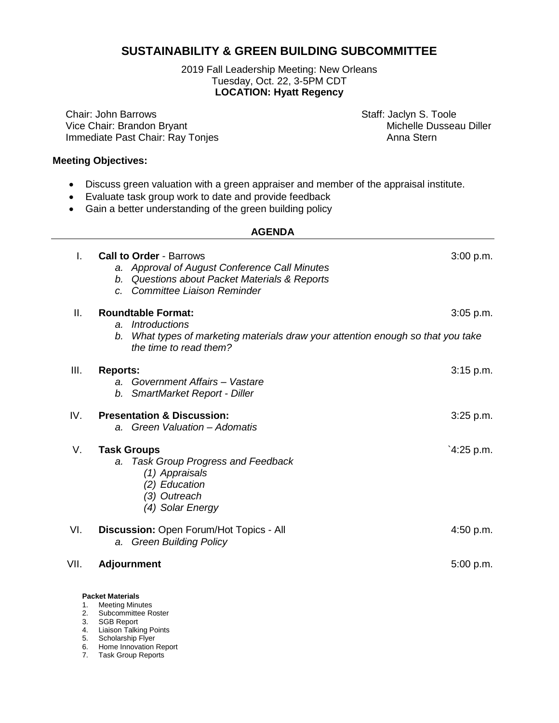## **SUSTAINABILITY & GREEN BUILDING SUBCOMMITTEE**

2019 Fall Leadership Meeting: New Orleans Tuesday, Oct. 22, 3-5PM CDT **LOCATION: Hyatt Regency**

Chair: John Barrows<br>
Vice Chair: Brandon Bryant<br>
Vice Chair: Brandon Bryant<br>
Staff: Jaclyn S. Toole<br>
Michelle Dusseau Diller Vice Chair: Brandon Bryant Immediate Past Chair: Ray Tonjes Anna Stern

## **Meeting Objectives:**

- Discuss green valuation with a green appraiser and member of the appraisal institute.
- Evaluate task group work to date and provide feedback
- Gain a better understanding of the green building policy

| <b>AGENDA</b> |  |
|---------------|--|
|               |  |

| I.       | <b>Call to Order - Barrows</b>                                                                                | 3:00 p.m.   |
|----------|---------------------------------------------------------------------------------------------------------------|-------------|
|          | a. Approval of August Conference Call Minutes                                                                 |             |
|          | b. Questions about Packet Materials & Reports                                                                 |             |
|          | <b>Committee Liaison Reminder</b><br>$\overline{C}$ .                                                         |             |
| Ш.       | <b>Roundtable Format:</b>                                                                                     | 3:05 p.m.   |
|          | <i><b>Introductions</b></i><br>a.                                                                             |             |
|          | What types of marketing materials draw your attention enough so that you take<br>b.<br>the time to read them? |             |
| III.     | <b>Reports:</b>                                                                                               | $3:15$ p.m. |
|          | a. Government Affairs - Vastare                                                                               |             |
|          | b. SmartMarket Report - Diller                                                                                |             |
| IV.      | <b>Presentation &amp; Discussion:</b>                                                                         | $3:25$ p.m. |
|          | a. Green Valuation - Adomatis                                                                                 |             |
| V.       | <b>Task Groups</b>                                                                                            | `4:25 p.m.  |
|          | <b>Task Group Progress and Feedback</b><br>a.                                                                 |             |
|          | (1) Appraisals                                                                                                |             |
|          | (2) Education                                                                                                 |             |
|          | (3) Outreach                                                                                                  |             |
|          | (4) Solar Energy                                                                                              |             |
| VI.      | Discussion: Open Forum/Hot Topics - All                                                                       | 4:50 p.m.   |
|          | a. Green Building Policy                                                                                      |             |
| VII.     | <b>Adjournment</b>                                                                                            | 5:00 p.m.   |
|          |                                                                                                               |             |
|          | <b>Packet Materials</b>                                                                                       |             |
| 1.<br>2. | <b>Meeting Minutes</b><br>Subcommittee Roster                                                                 |             |
| 3.       | <b>SGB Report</b>                                                                                             |             |
| 4.       | <b>Liaison Talking Points</b>                                                                                 |             |

- 5. Scholarship Flyer
- 6. Home Innovation Report
- 7. Task Group Reports